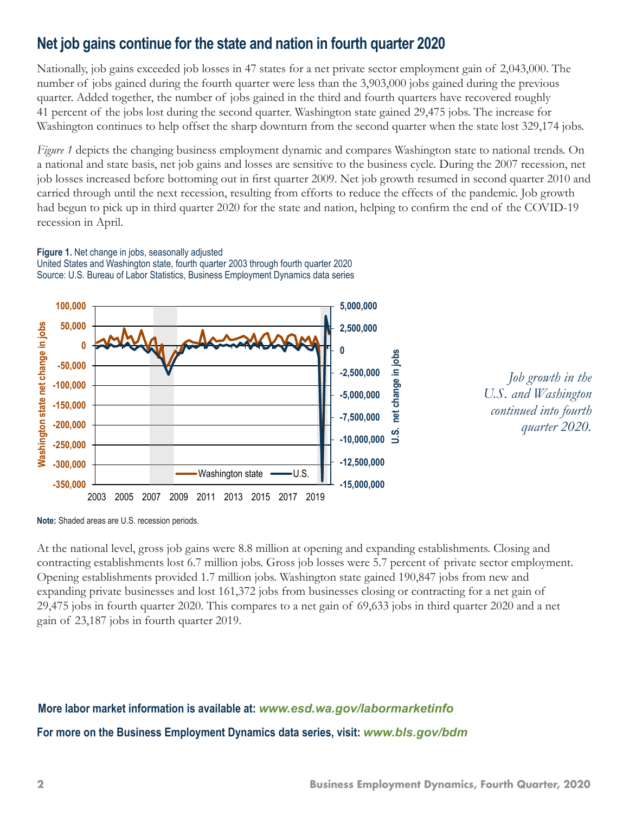# **Net job gains continue for the state and nation in fourth quarter 2020**

Nationally, job gains exceeded job losses in 47 states for a net private sector employment gain of 2,043,000. The number of jobs gained during the fourth quarter were less than the 3,903,000 jobs gained during the previous quarter. Added together, the number of jobs gained in the third and fourth quarters have recovered roughly 41 percent of the jobs lost during the second quarter. Washington state gained 29,475 jobs. The increase for Washington continues to help offset the sharp downturn from the second quarter when the state lost 329,174 jobs.

*Figure 1* depicts the changing business employment dynamic and compares Washington state to national trends. On a national and state basis, net job gains and losses are sensitive to the business cycle. During the 2007 recession, net job losses increased before bottoming out in first quarter 2009. Net job growth resumed in second quarter 2010 and carried through until the next recession, resulting from efforts to reduce the effects of the pandemic. Job growth had begun to pick up in third quarter 2020 for the state and nation, helping to confirm the end of the COVID-19 recession in April.

#### **Figure 1.** Net change in jobs, seasonally adjusted United States and Washington state, fourth quarter 2003 through fourth quarter 2020 Source: U.S. Bureau of Labor Statistics, Business Employment Dynamics data series





**Note:** Shaded areas are U.S. recession periods.

At the national level, gross job gains were 8.8 million at opening and expanding establishments. Closing and contracting establishments lost 6.7 million jobs. Gross job losses were 5.7 percent of private sector employment. Opening establishments provided 1.7 million jobs. Washington state gained 190,847 jobs from new and expanding private businesses and lost 161,372 jobs from businesses closing or contracting for a net gain of 29,475 jobs in fourth quarter 2020. This compares to a net gain of 69,633 jobs in third quarter 2020 and a net gain of 23,187 jobs in fourth quarter 2019.

# **For more on the Business Employment Dynamics data series, visit:** *[www.bls.gov/bdm](http://www.bls.gov/bdm)* **More labor market information is available at:** *[www.esd.wa.gov/labormarketinfo](http://www.esd.wa.gov/labormarketinfo)*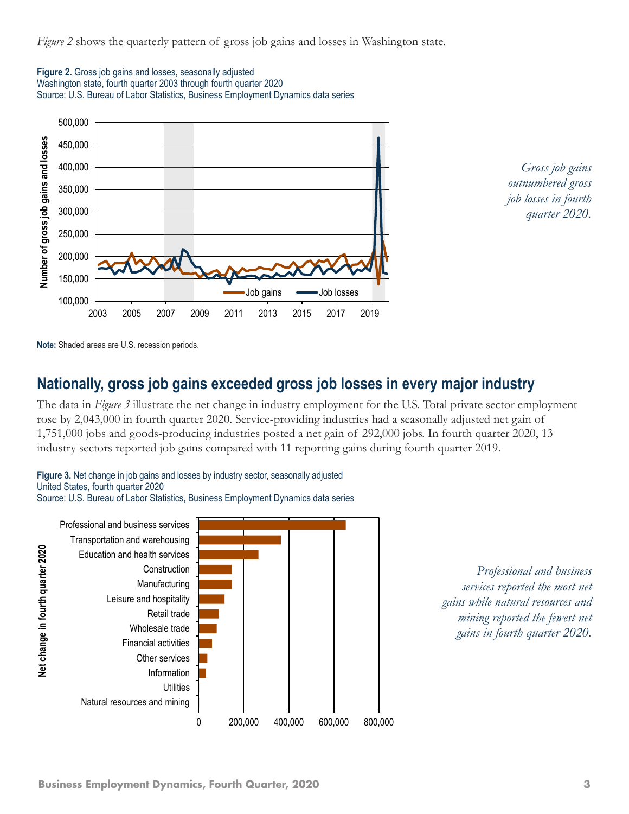*Figure 2* shows the quarterly pattern of gross job gains and losses in Washington state.







**Note:** Shaded areas are U.S. recession periods.

### **Nationally, gross job gains exceeded gross job losses in every major industry**

The data in *Figure 3* illustrate the net change in industry employment for the U.S. Total private sector employment rose by 2,043,000 in fourth quarter 2020. Service-providing industries had a seasonally adjusted net gain of 1,751,000 jobs and goods-producing industries posted a net gain of 292,000 jobs. In fourth quarter 2020, 13 industry sectors reported job gains compared with 11 reporting gains during fourth quarter 2019.



Source: U.S. Bureau of Labor Statistics, Business Employment Dynamics data series



*Professional and business services reported the most net gains while natural resources and mining reported the fewest net gains in fourth quarter 2020.*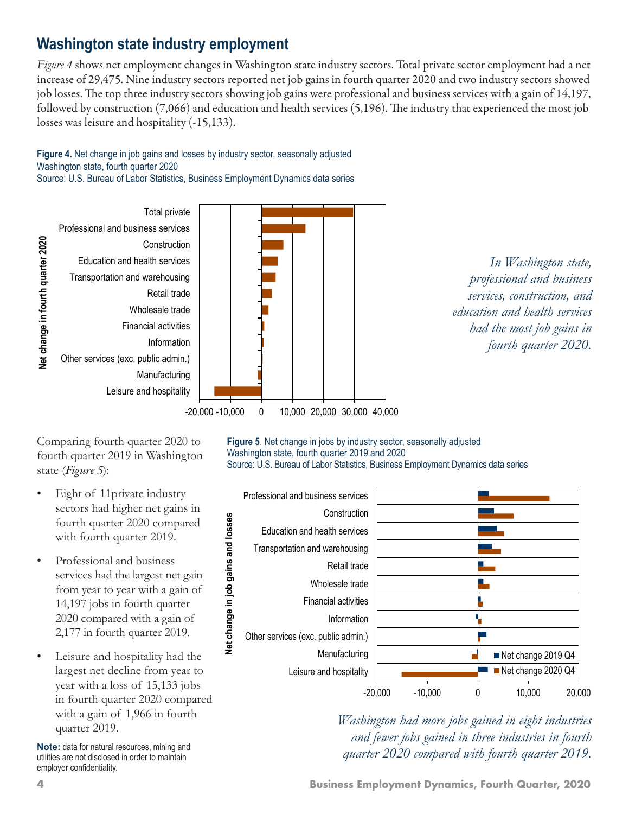# **Washington state industry employment**

*Figure 4* shows net employment changes in Washington state industry sectors. Total private sector employment had a net increase of 29,475. Nine industry sectors reported net job gains in fourth quarter 2020 and two industry sectors showed job losses. The top three industry sectors showing job gains were professional and business services with a gain of 14,197, followed by construction (7,066) and education and health services (5,196). The industry that experienced the most job losses was leisure and hospitality (-15,133).



Total private Professional and business services Net change in fourth quarter 2020 **Net change in fourth quarter 2020 Construction** Education and health services Transportation and warehousing Retail trade Wholesale trade Financial activities Information Other services (exc. public admin.) Manufacturing Leisure and hospitality



*In Washington state, professional and business services, construction, and education and health services had the most job gains in fourth quarter 2020.*

Comparing fourth quarter 2020 to fourth quarter 2019 in Washington state (*Figure 5*):

- Eight of 11 private industry sectors had higher net gains in fourth quarter 2020 compared with fourth quarter 2019.
- Professional and business services had the largest net gain from year to year with a gain of 14,197 jobs in fourth quarter 2020 compared with a gain of 2,177 in fourth quarter 2019.
- Leisure and hospitality had the largest net decline from year to year with a loss of 15,133 jobs in fourth quarter 2020 compared with a gain of 1,966 in fourth quarter 2019.

**Note:** data for natural resources, mining and utilities are not disclosed in order to maintain employer confidentiality.

**Figure 5**. Net change in jobs by industry sector, seasonally adjusted Washington state, fourth quarter 2019 and 2020 Source: U.S. Bureau of Labor Statistics, Business Employment Dynamics data series



*Washington had more jobs gained in eight industries and fewer jobs gained in three industries in fourth quarter 2020 compared with fourth quarter 2019.*